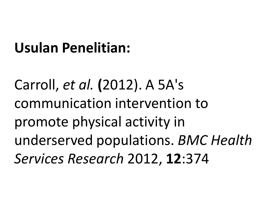#### **Usulan Penelitian:**

Carroll, *et al.* **(**2012). A 5A's communication intervention to promote physical activity in underserved populations. *BMC Health Services Research* 2012, **12**:374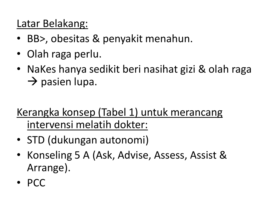#### Latar Belakang:

- BB>, obesitas & penyakit menahun.
- Olah raga perlu.
- NaKes hanya sedikit beri nasihat gizi & olah raga  $\rightarrow$  pasien lupa.

#### Kerangka konsep (Tabel 1) untuk merancang intervensi melatih dokter:

- STD (dukungan autonomi)
- Konseling 5 A (Ask, Advise, Assess, Assist & Arrange).
- PCC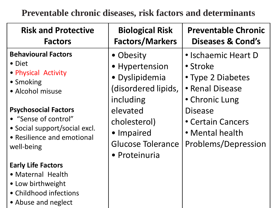**Preventable chronic diseases, risk factors and determinants**

| <b>Risk and Protective</b><br><b>Factors</b>                                                                                     | <b>Biological Risk</b><br><b>Factors/Markers</b>                                  | <b>Preventable Chronic</b><br>Diseases & Cond's                                           |
|----------------------------------------------------------------------------------------------------------------------------------|-----------------------------------------------------------------------------------|-------------------------------------------------------------------------------------------|
| <b>Behavioural Factors</b><br>• Diet<br>• Physical Activity<br>• Smoking<br>• Alcohol misuse                                     | • Obesity<br>• Hypertension<br>· Dyslipidemia<br>(disordered lipids,<br>including | • Ischaemic Heart D<br>• Stroke<br>• Type 2 Diabetes<br>• Renal Disease<br>• Chronic Lung |
| <b>Psychosocial Factors</b><br>• "Sense of control"<br>• Social support/social excl.<br>• Resilience and emotional<br>well-being | elevated<br>cholesterol)<br>• Impaired<br>Glucose Tolerance<br>• Proteinuria      | <b>Disease</b><br>• Certain Cancers<br>• Mental health<br>Problems/Depression             |
| <b>Early Life Factors</b><br>• Maternal Health<br>• Low birthweight<br>• Childhood infections<br>• Abuse and neglect             |                                                                                   |                                                                                           |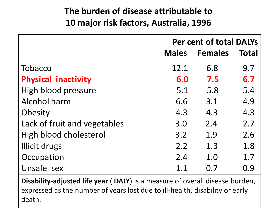#### **The burden of disease attributable to 10 major risk factors, Australia, 1996**

|                              | <b>Per cent of total DALYs</b> |                |              |  |  |
|------------------------------|--------------------------------|----------------|--------------|--|--|
|                              | <b>Males</b>                   | <b>Females</b> | <b>Total</b> |  |  |
| Tobacco                      | 12.1                           | 6.8            | 9.7          |  |  |
| <b>Physical inactivity</b>   | 6.0                            | 7.5            | 6.7          |  |  |
| High blood pressure          | 5.1                            | 5.8            | 5.4          |  |  |
| Alcohol harm                 | 6.6                            | 3.1            | 4.9          |  |  |
| Obesity                      | 4.3                            | 4.3            | 4.3          |  |  |
| Lack of fruit and vegetables | 3.0                            | 2.4            | 2.7          |  |  |
| High blood cholesterol       | 3.2                            | 1.9            | 2.6          |  |  |
| Illicit drugs                | 2.2                            | 1.3            | 1.8          |  |  |
| Occupation                   | 2.4                            | 1.0            | 1.7          |  |  |
| Unsafe sex                   | 1.1                            | 0.7            | 0.9          |  |  |

**Disability-adjusted life year** ( **DALY**) is a measure of overall disease burden, expressed as the number of years lost due to ill-health, disability or early death.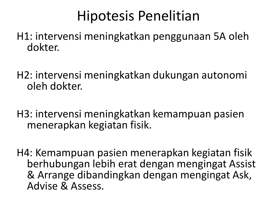## Hipotesis Penelitian

H1: intervensi meningkatkan penggunaan 5A oleh dokter.

H2: intervensi meningkatkan dukungan autonomi oleh dokter.

H3: intervensi meningkatkan kemampuan pasien menerapkan kegiatan fisik.

H4: Kemampuan pasien menerapkan kegiatan fisik berhubungan lebih erat dengan mengingat Assist & Arrange dibandingkan dengan mengingat Ask, Advise & Assess.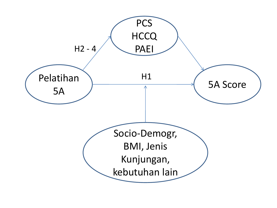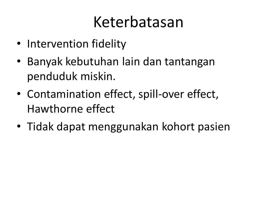# Keterbatasan

- Intervention fidelity
- Banyak kebutuhan lain dan tantangan penduduk miskin.
- Contamination effect, spill-over effect, Hawthorne effect
- Tidak dapat menggunakan kohort pasien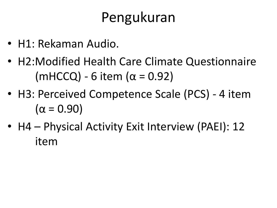## Pengukuran

- H1: Rekaman Audio.
- H2:Modified Health Care Climate Questionnaire (mHCCQ) - 6 item ( $\alpha$  = 0.92)
- H3: Perceived Competence Scale (PCS) 4 item  $(α = 0.90)$
- H4 Physical Activity Exit Interview (PAEI): 12 item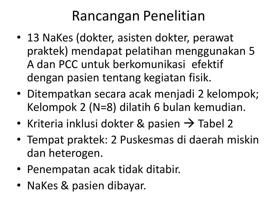## Rancangan Penelitian

- 13 NaKes (dokter, asisten dokter, perawat praktek) mendapat pelatihan menggunakan 5 A dan PCC untuk berkomunikasi efektif dengan pasien tentang kegiatan fisik.
- Ditempatkan secara acak menjadi 2 kelompok; Kelompok 2 (N=8) dilatih 6 bulan kemudian.
- Kriteria inklusi dokter & pasien  $\rightarrow$  Tabel 2
- Tempat praktek: 2 Puskesmas di daerah miskin dan heterogen.
- Penempatan acak tidak ditabir.
- NaKes & pasien dibayar.